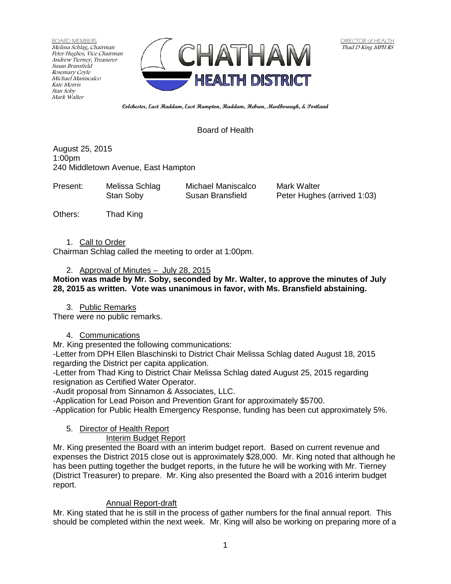BOARD MEMBERS Melissa Schlag, Chairman Peter Hughes, Vice Chairman Andrew Tierney, Treasurer Susan Bransfield Rosemary Coyle Michael Maniscalco Kate Morris Stan Soby Mark Walter



**Colchester, East Haddam, East Hampton, Haddam, Hebron, Marlborough, & Portland**

### Board of Health

August 25, 2015 1:00pm 240 Middletown Avenue, East Hampton

| Present: | Melissa Schlag | Michael Maniscalco | Mark Walter                 |
|----------|----------------|--------------------|-----------------------------|
|          | Stan Soby      | Susan Bransfield   | Peter Hughes (arrived 1:03) |
|          |                |                    |                             |

Others: Thad King

1. Call to Order

Chairman Schlag called the meeting to order at 1:00pm.

### 2. Approval of Minutes – July 28, 2015

#### **Motion was made by Mr. Soby, seconded by Mr. Walter, to approve the minutes of July 28, 2015 as written. Vote was unanimous in favor, with Ms. Bransfield abstaining.**

3. Public Remarks

There were no public remarks.

### 4. Communications

Mr. King presented the following communications:

-Letter from DPH Ellen Blaschinski to District Chair Melissa Schlag dated August 18, 2015 regarding the District per capita application.

-Letter from Thad King to District Chair Melissa Schlag dated August 25, 2015 regarding resignation as Certified Water Operator.

-Audit proposal from Sinnamon & Associates, LLC.

-Application for Lead Poison and Prevention Grant for approximately \$5700.

-Application for Public Health Emergency Response, funding has been cut approximately 5%.

### 5. Director of Health Report

### Interim Budget Report

Mr. King presented the Board with an interim budget report. Based on current revenue and expenses the District 2015 close out is approximately \$28,000. Mr. King noted that although he has been putting together the budget reports, in the future he will be working with Mr. Tierney (District Treasurer) to prepare. Mr. King also presented the Board with a 2016 interim budget report.

### Annual Report-draft

Mr. King stated that he is still in the process of gather numbers for the final annual report. This should be completed within the next week. Mr. King will also be working on preparing more of a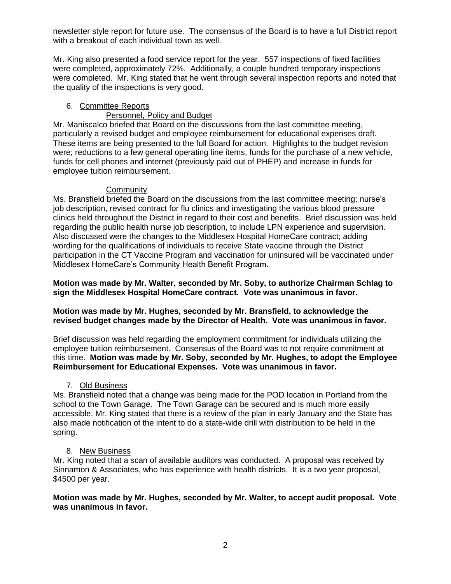newsletter style report for future use. The consensus of the Board is to have a full District report with a breakout of each individual town as well.

Mr. King also presented a food service report for the year. 557 inspections of fixed facilities were completed, approximately 72%. Additionally, a couple hundred temporary inspections were completed. Mr. King stated that he went through several inspection reports and noted that the quality of the inspections is very good.

## 6. Committee Reports

# Personnel, Policy and Budget

Mr. Maniscalco briefed that Board on the discussions from the last committee meeting, particularly a revised budget and employee reimbursement for educational expenses draft. These items are being presented to the full Board for action. Highlights to the budget revision were; reductions to a few general operating line items, funds for the purchase of a new vehicle, funds for cell phones and internet (previously paid out of PHEP) and increase in funds for employee tuition reimbursement.

## **Community**

Ms. Bransfield briefed the Board on the discussions from the last committee meeting; nurse's job description, revised contract for flu clinics and investigating the various blood pressure clinics held throughout the District in regard to their cost and benefits. Brief discussion was held regarding the public health nurse job description, to include LPN experience and supervision. Also discussed were the changes to the Middlesex Hospital HomeCare contract; adding wording for the qualifications of individuals to receive State vaccine through the District participation in the CT Vaccine Program and vaccination for uninsured will be vaccinated under Middlesex HomeCare's Community Health Benefit Program.

**Motion was made by Mr. Walter, seconded by Mr. Soby, to authorize Chairman Schlag to sign the Middlesex Hospital HomeCare contract. Vote was unanimous in favor.**

### **Motion was made by Mr. Hughes, seconded by Mr. Bransfield, to acknowledge the revised budget changes made by the Director of Health. Vote was unanimous in favor.**

Brief discussion was held regarding the employment commitment for individuals utilizing the employee tuition reimbursement. Consensus of the Board was to not require commitment at this time. **Motion was made by Mr. Soby, seconded by Mr. Hughes, to adopt the Employee Reimbursement for Educational Expenses. Vote was unanimous in favor.** 

## 7. Old Business

Ms. Bransfield noted that a change was being made for the POD location in Portland from the school to the Town Garage. The Town Garage can be secured and is much more easily accessible. Mr. King stated that there is a review of the plan in early January and the State has also made notification of the intent to do a state-wide drill with distribution to be held in the spring.

## 8. New Business

Mr. King noted that a scan of available auditors was conducted. A proposal was received by Sinnamon & Associates, who has experience with health districts. It is a two year proposal, \$4500 per year.

### **Motion was made by Mr. Hughes, seconded by Mr. Walter, to accept audit proposal. Vote was unanimous in favor.**